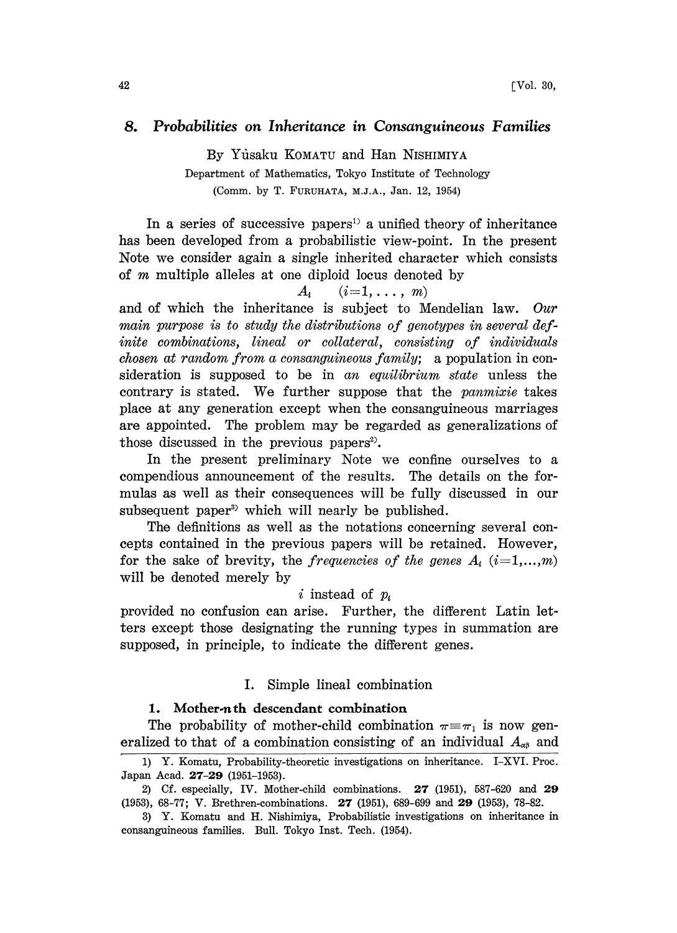# 8. Probabilities on Inheritance in Consanguineous Families

By Yusaku KOMATU and Han NISHIMIYA Department of Mathematics, Tokyo Institute of Technology (Comm. by T. FURUHATA, M.J.A., Jan. 12, 1954)

In a series of successive papers<sup>1</sup> a unified theory of inheritance has been developed from a probabilistic view-point. In the present Note we consider again a single inherited character which consists of  $m$  multiple alleles at one diploid locus denoted by

## $A_i$   $(i=1,\ldots,m)$

and of which the inheritance is subject to Mendelian law. Our main purpose is to study the distributions of genotypes in several definite combinations, lineal or collateral, consisting of individuals chosen at random from a consanguineous family; a population in consideration is supposed to be in an equilibrium state unless the contrary is stated. We further suppose that the panmixie takes place at any generation except when the consanguineous marriages are appointed. The problem may be regarded as generalizations of those discussed in the previous papers<sup>2</sup>.

In the present preliminary Note we confine ourselves to a compendious announcement of the results. The details on the formulas as well as their consequences will be fully discussed in our subsequent paper<sup>3</sup> which will nearly be published.

The definitions as well as the notations concerning several concepts contained in the previous papers will be retained. However, for the sake of brevity, the *frequencies of the genes*  $A_i$  ( $i=1,...,m$ ) will be denoted merely by

## $i$  instead of  $p_i$

provided no confusion can arise. Further, the different Lain letters except those designating the running types in summation are supposed, in principle, to indicate the different genes.

## I. Simple lineal combination

#### 1. Mother.n th descendant combination

The probability of mother-child combination  $\pi = \pi_1$  is now generalized to that of a combination consisting of an individual  $A_{\alpha\beta}$  and

<sup>1)</sup> Y. Komatu, Probability-theoretic investigations on inheritance. I-XVI. Proc. Japan Acad. 27-29 (1951-1953).

<sup>2)</sup> Cf. especially, IV. Mother-child combinations. 27 (1951), 587-620 and 29 (1953), 68-77; V. Brethren-combinations. 27 (1951), 689-699 and 29 (1953), 78-82.

<sup>3)</sup> Y. Komatu and H. Nishimiya, Probabilistic investigations on inheritance in consanguineous families. Bull. Tokyo Inst. Tech. (1954).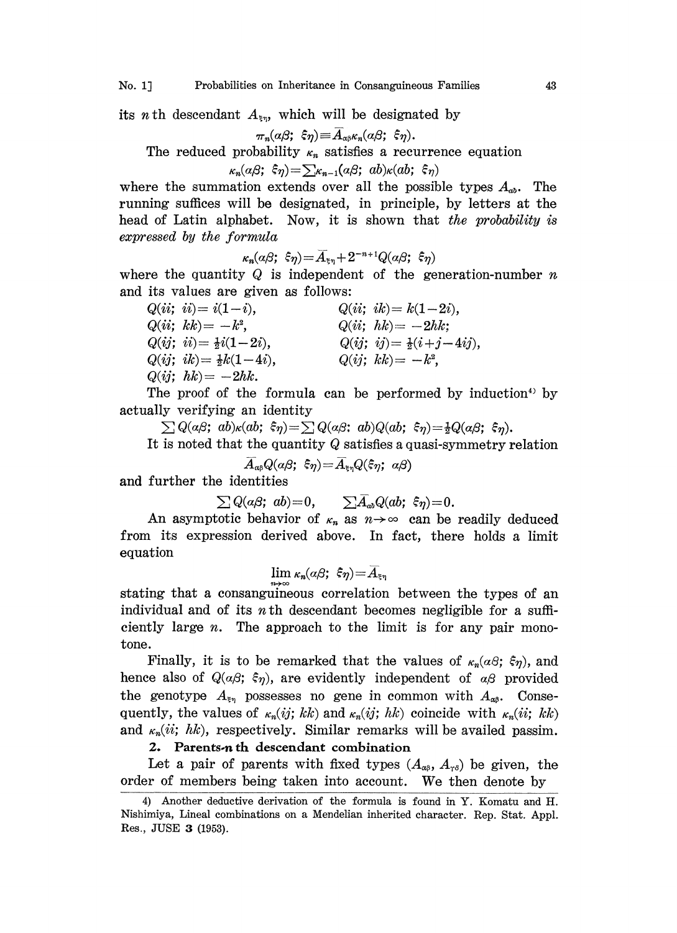No. 1] Probabilities on Inheritance in Consanguineous Families 43

its *n* th descendant  $A_{\xi\eta}$ , which will be designated by

$$
\pi_n(a\beta; \, \, \hat{\varepsilon}\eta)\!\equiv\! \overline{A}_{a\beta} \kappa_n(a\beta; \, \, \hat{\varepsilon}\eta).
$$

The reduced probability  $\kappa_n$  satisfies a recurrence equation

$$
_{n}(\alpha\beta;\;\hat{\varepsilon}_{\eta})\!=\!\textstyle\sum_{\kappa_{n-1}}\!\!(\alpha\beta;\;ab)_{\kappa}\!(ab;\;\hat{\varepsilon}_{\eta})
$$

where the summation extends over all the possible types  $A_{ab}$ . The running suffices will be designated, in principle, by letters at the head of Latin alphabet. Now, it is shown that the probability is expressed by the formula

$$
\kappa_n(\alpha\beta; \ \xi\eta) = \overline{A}_{\xi\eta} + 2^{-n+1}Q(\alpha\beta; \ \xi\eta)
$$

where the quantity  $Q$  is independent of the generation-number  $n$ and its values are given as follows:

| $Q(ii; ii) = i(1-i)$ ,             | $Q(ii; ik) = k(1-2i),$               |  |
|------------------------------------|--------------------------------------|--|
| $Q(ii; kk) = -k^2$ ,               | $Q(ii; hk) = -2hk;$                  |  |
| $Q(ij; i) = \frac{1}{2}i(1-2i),$   | $Q(ij; i j) = \frac{1}{2}(i+j-4ij),$ |  |
| $Q(ij; i k) = \frac{1}{2}k(1-4i),$ | $Q(ij; kk) = -k^2$ ,                 |  |
| $Q(ij; hk) = -2hk.$                |                                      |  |

The proof of the formula can be performed by induction<sup>4</sup> by actually verifying an identity

 $\sum Q(a\beta; a b) \kappa(ab; \xi \eta) = \sum Q(a\beta; ab) Q(ab; \xi \eta) = \frac{1}{2}Q(a\beta; \xi \eta).$ 

It is noted that the quantity  $Q$  satisfies a quasi-symmetry relation

 $\overline{A}_{\alpha\beta}Q(\alpha\beta; \xi\eta) = \overline{A}_{\xi\eta}Q(\xi\eta; \alpha\beta)$ 

and further the identities

 $\sum Q(a\beta; ab) = 0, \qquad \sum \overline{A}_{ab} Q(ab; \xi \eta) = 0.$ 

An asymptotic behavior of  $\kappa_n$  as  $n \to \infty$  can be readily deduced from its expression derived above. In fact, there holds a limit equation

$$
\lim \kappa_n(\alpha\beta; \; \hat{\varepsilon}\eta) = \overline{A}_{\varepsilon\eta}
$$

stating that a consanguineous correlation between the types of an individual and of its  $n$  th descendant becomes negligible for a sufficiently large  $n$ . The approach to the limit is for any pair monotone.

Finally, it is to be remarked that the values of  $\kappa_n(a\beta; \xi_\eta)$ , and hence also of  $Q(\alpha\beta; \xi\eta)$ , are evidently independent of  $\alpha\beta$  provided the genotype  $A_{\xi\eta}$  possesses no gene in common with  $A_{\alpha\beta}$ . Consequently, the values of  $\kappa_n(ij; k k)$  and  $\kappa_n(ij; h k)$  coincide with  $\kappa_n(ii; k k)$ and  $\kappa_n(ii; hk)$ , respectively. Similar remarks will be availed passim.

# 2. Parents-n th descendant combination

Let a pair of parents with fixed types  $(A_{\alpha\beta}, A_{\gamma\delta})$  be given, the order of members being taken into account. We then denote by

<sup>4)</sup> Another deductive derivation of the formula is found in Y. Komatu and H. Nishimiya, Lineal combinations on a Mendelian inherited character. Rep. Star. Appl. Res., JUSE 3 (1953).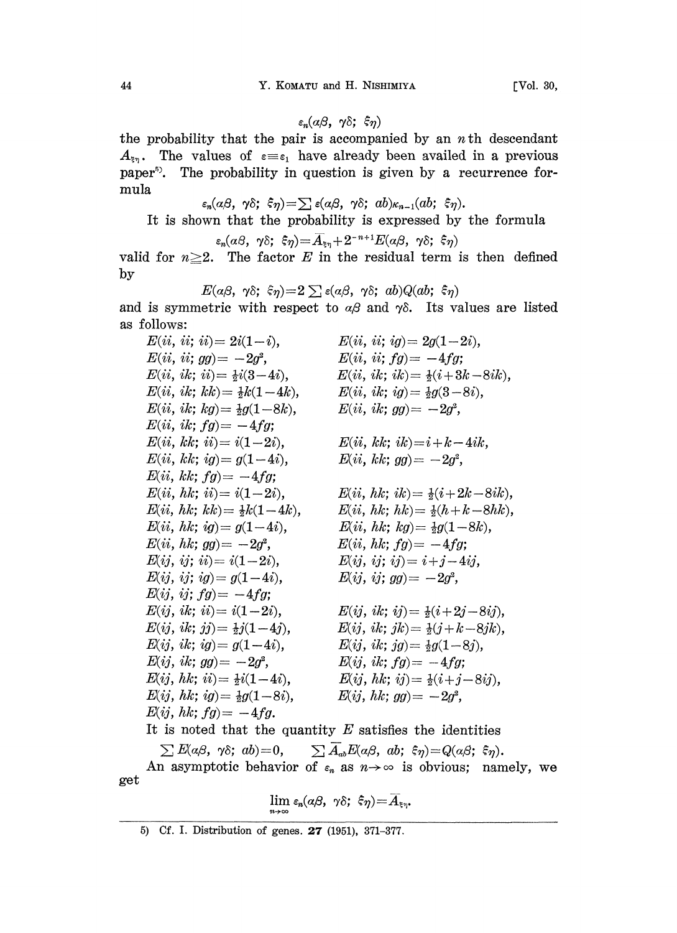$\varepsilon_n(\alpha\beta, \gamma\delta; \xi\eta)$ 

the probability that the pair is accompanied by an  $n$  th descendant  $A_{\xi_7}$ . The values of  $\varepsilon = \varepsilon_1$  have already been availed in a previous paper<sup>5</sup>. The probability in question is given by a recurrence formula

 $\varepsilon_n(\alpha\beta, \gamma\delta; \xi_\eta) = \sum \varepsilon(\alpha\beta, \gamma\delta; ab) \kappa_{n-1}(ab; \xi_\eta).$ 

It is shown that the probability is expressed by the formula

$$
\varepsilon_n(\alpha\beta,\ \gamma\delta;\ \xi\eta)\!=\!\overline{A}_{\xi\eta}+2^{-n+1}E(\alpha\beta,\ \gamma\delta;\ \xi\eta)
$$

valid for  $n \geq 2$ . The factor E in the residual term is then defined by

$$
E(a\beta, \ \gamma\delta; \ \hat{\epsilon}\eta) = 2 \sum \epsilon(a\beta, \ \gamma\delta; \ ab) Q(ab; \ \hat{\epsilon}\eta)
$$

and is symmetric with respect to  $\alpha\beta$  and  $\gamma\delta$ . Its values are listed as follows:

 $E(ii, ii; ii) = 2i(1-i),$  $E(ii, ii; gg) = -2g^2$ ,  $E(ii, ik; ii) = \frac{1}{2}i(3-4i),$  $E(ii, ik; kk) = \frac{1}{2}k(1-4k),$  $E(ii, ik; kg) = \frac{1}{2}g(1-8k),$  $E(ii, ik; fg) = -4fg;$  $E(ii, kk; ii) = i(1-2i),$  $E(ii, kk; ig) = g(1-4i),$  $E(ii, kk; fg) = -4fg;$  $E(ii, hk; ii) = i(1-2i),$  $E(ii, hk; kk) = \frac{1}{2}k(1-4k),$  $E(ii, hk; ig) = g(1-4i),$  $E(ii, hk; gg) = -2g^2$ ,  $E(ij, ij; ii) = i(1-2i),$  $E(ij, ij; ig) = g(1-4i),$  $E(ij, ij; fg) = -4fg;$  $E(ij, i k; ii) = i(1-2i)$ ,  $E(ij, ik; jj) = \frac{1}{2}j(1-4j),$  $E(ij, ik; ig) = g(1-4i),$  $E(ij, i k; gg) = -2g^2$ ,  $E(ij, hk; ii) = \frac{1}{2}i(1-4i)$ ,  $E(ij, hk; ig) = \frac{1}{2}g(1-8i),$  $E(ij, hk; fg) = -4fg.$  $E(ii, ii; ig) = 2g(1-2i),$  $E(ii, ii; fg) = -4fg;$  $E(ii, ik; ik) = \frac{1}{2}(i + 3k - 8ik),$  $E(ii, ik; ig) = \frac{1}{2}g(3-8i),$  $E(ii, ik; gg) = -2g^2$ ,  $E(ii, kk; ik) = i + k - 4ik,$  $E(ii, kk; gg) = -2g^2$ ,  $E(ii, hk; ik) = \frac{1}{2}(i+2k-8ik),$  $E(ii, hk; hk) = \frac{1}{2}(h + k - 8hk),$  $E(ii, hk; kg) = \frac{1}{2}g(1 - 8k),$  $E(ii, hk; fg) = -4fg;$  $E(ij, ij; ij) = i+j-4ij,$  $E(ij, ij; gg) = -2g^2$ ,  $E(ij, ik; ij) = \frac{1}{2}(i + 2j - 8ij),$  $E(ij, ik; jk) = \frac{1}{2}(j + k - 8jk),$  $E(ij, ik; jg) = \frac{1}{2}g(1-8j),$  $E(ij, ik; fg) = -4fg;$  $E(ij, hk; ij) = \frac{1}{2}(i + j - 8ij),$  $E(ij, hk; gg) = -2g^2$ , It is noted that the quantity  $E$  satisfies the identities

get  $\sum E(\alpha\beta, \gamma\delta; ab) = 0,$  $\sum A_{ab}E(a\beta, ab; \xi\eta)=Q(a\beta; \xi\eta).$ <br>
if  $\varepsilon_n$  as  $n\rightarrow\infty$  is obvious; nam<br>  $\kappa\beta, \gamma\delta; \xi\eta)=\overline{A}_{\xi\eta}.$ An asymptotic behavior of  $\varepsilon_n$  as  $n \to \infty$  is obvious; namely, we

$$
\lim_{n\to\infty}\varepsilon_n(\alpha\beta,\ \gamma\delta;\ \hat{\varepsilon}\eta)=\widehat{A}_{\varepsilon\eta}.
$$

5) Cf. I. Distribution of genes. 27 (1951), 371-377.